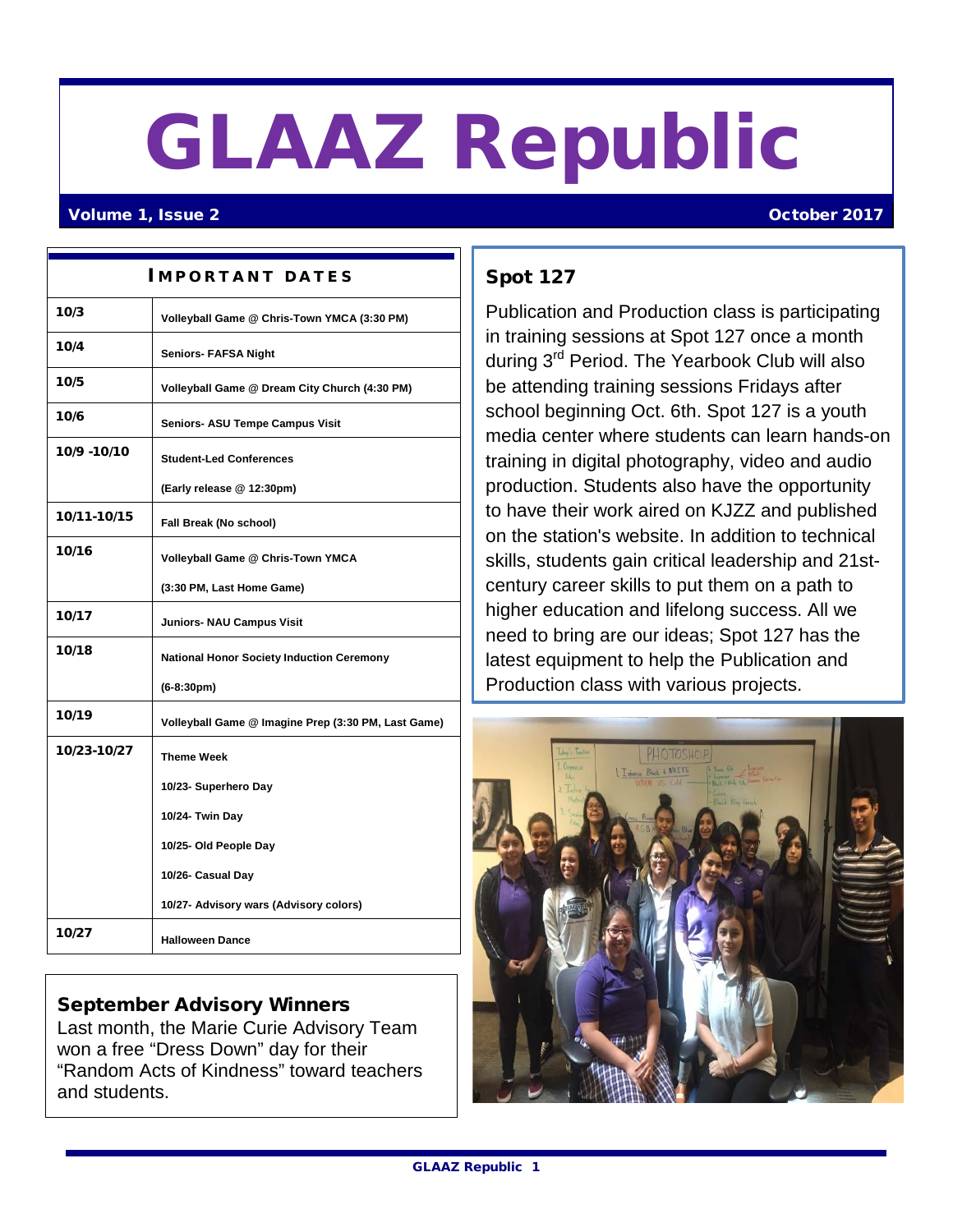# GLAAZ Republic

#### Volume 1, Issue 2 October 2017

| <b>IMPORTANT DATES</b> |                                                     |
|------------------------|-----------------------------------------------------|
| 10/3                   | Volleyball Game @ Chris-Town YMCA (3:30 PM)         |
| 10/4                   | <b>Seniors- FAFSA Night</b>                         |
| 10/5                   | Volleyball Game @ Dream City Church (4:30 PM)       |
| 10/6                   | Seniors- ASU Tempe Campus Visit                     |
| 10/9 - 10/10           | <b>Student-Led Conferences</b>                      |
|                        | (Early release @ 12:30pm)                           |
| 10/11-10/15            | Fall Break (No school)                              |
| 10/16                  | Volleyball Game @ Chris-Town YMCA                   |
|                        | (3:30 PM, Last Home Game)                           |
| 10/17                  | <b>Juniors- NAU Campus Visit</b>                    |
| 10/18                  | <b>National Honor Society Induction Ceremony</b>    |
|                        | $(6-8:30pm)$                                        |
| 10/19                  | Volleyball Game @ Imagine Prep (3:30 PM, Last Game) |
| 10/23-10/27            | <b>Theme Week</b>                                   |
|                        | 10/23- Superhero Day                                |
|                        | 10/24- Twin Day                                     |
|                        | 10/25- Old People Day                               |
|                        | 10/26- Casual Day                                   |
|                        | 10/27- Advisory wars (Advisory colors)              |
| 10/27                  | <b>Halloween Dance</b>                              |

#### September Advisory Winners

Last month, the Marie Curie Advisory Team won a free "Dress Down" day for their "Random Acts of Kindness" toward teachers and students.

### Spot 127

Publication and Production class is participating in training sessions at Spot 127 once a month during 3rd Period. The Yearbook Club will also be attending training sessions Fridays after school beginning Oct. 6th. Spot 127 is a youth media center where students can learn hands-on training in digital photography, video and audio production. Students also have the opportunity to have their work aired on KJZZ and published on the station's website. In addition to technical skills, students gain critical leadership and 21stcentury career skills to put them on a path to higher education and lifelong success. All we need to bring are our ideas; Spot 127 has the latest equipment to help the Publication and Production class with various projects.